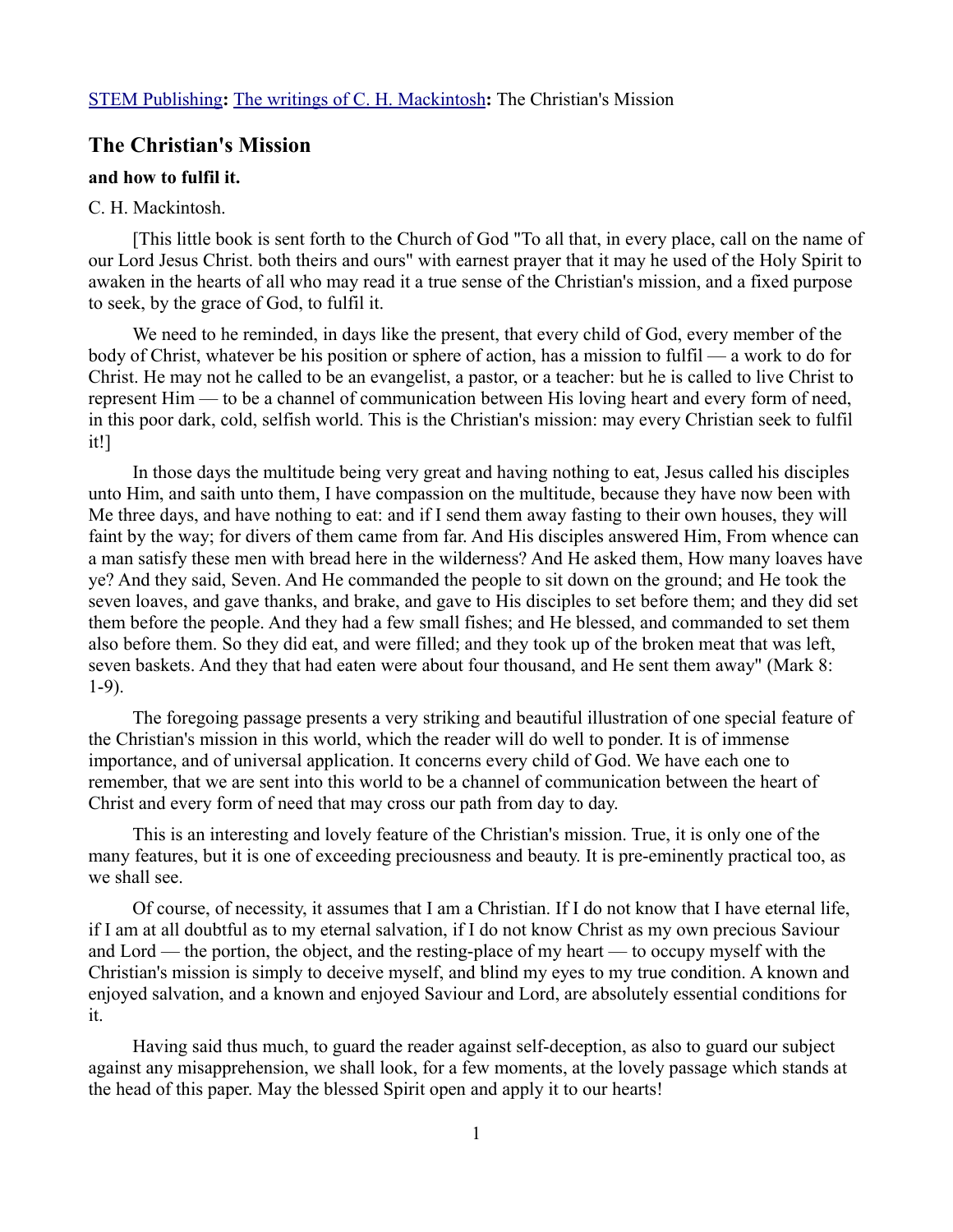## **The Christian's Mission**

## **and how to fulfil it.**

## C. H. Mackintosh.

[This little book is sent forth to the Church of God "To all that, in every place, call on the name of our Lord Jesus Christ. both theirs and ours" with earnest prayer that it may he used of the Holy Spirit to awaken in the hearts of all who may read it a true sense of the Christian's mission, and a fixed purpose to seek, by the grace of God, to fulfil it.

We need to he reminded, in days like the present, that every child of God, every member of the body of Christ, whatever be his position or sphere of action, has a mission to fulfil — a work to do for Christ. He may not he called to be an evangelist, a pastor, or a teacher: but he is called to live Christ to represent Him — to be a channel of communication between His loving heart and every form of need, in this poor dark, cold, selfish world. This is the Christian's mission: may every Christian seek to fulfil it!]

In those days the multitude being very great and having nothing to eat, Jesus called his disciples unto Him, and saith unto them, I have compassion on the multitude, because they have now been with Me three days, and have nothing to eat: and if I send them away fasting to their own houses, they will faint by the way; for divers of them came from far. And His disciples answered Him, From whence can a man satisfy these men with bread here in the wilderness? And He asked them, How many loaves have ye? And they said, Seven. And He commanded the people to sit down on the ground; and He took the seven loaves, and gave thanks, and brake, and gave to His disciples to set before them; and they did set them before the people. And they had a few small fishes; and He blessed, and commanded to set them also before them. So they did eat, and were filled; and they took up of the broken meat that was left, seven baskets. And they that had eaten were about four thousand, and He sent them away" (Mark 8: 1-9).

The foregoing passage presents a very striking and beautiful illustration of one special feature of the Christian's mission in this world, which the reader will do well to ponder. It is of immense importance, and of universal application. It concerns every child of God. We have each one to remember, that we are sent into this world to be a channel of communication between the heart of Christ and every form of need that may cross our path from day to day.

This is an interesting and lovely feature of the Christian's mission. True, it is only one of the many features, but it is one of exceeding preciousness and beauty. It is pre-eminently practical too, as we shall see.

Of course, of necessity, it assumes that I am a Christian. If I do not know that I have eternal life, if I am at all doubtful as to my eternal salvation, if I do not know Christ as my own precious Saviour and Lord — the portion, the object, and the resting-place of my heart — to occupy myself with the Christian's mission is simply to deceive myself, and blind my eyes to my true condition. A known and enjoyed salvation, and a known and enjoyed Saviour and Lord, are absolutely essential conditions for it.

Having said thus much, to guard the reader against self-deception, as also to guard our subject against any misapprehension, we shall look, for a few moments, at the lovely passage which stands at the head of this paper. May the blessed Spirit open and apply it to our hearts!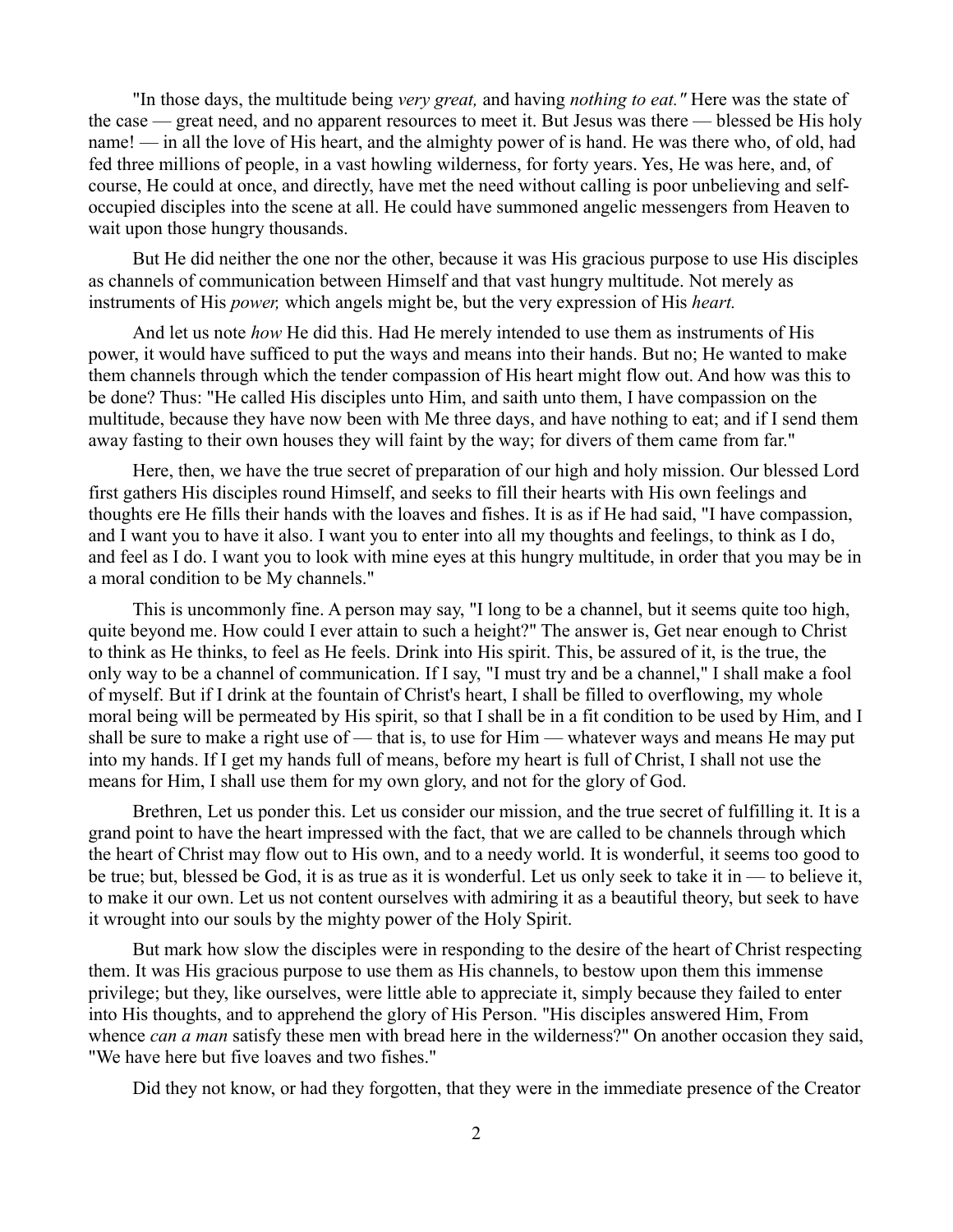"In those days, the multitude being *very great,* and having *nothing to eat."* Here was the state of the case — great need, and no apparent resources to meet it. But Jesus was there — blessed be His holy name! — in all the love of His heart, and the almighty power of is hand. He was there who, of old, had fed three millions of people, in a vast howling wilderness, for forty years. Yes, He was here, and, of course, He could at once, and directly, have met the need without calling is poor unbelieving and selfoccupied disciples into the scene at all. He could have summoned angelic messengers from Heaven to wait upon those hungry thousands.

But He did neither the one nor the other, because it was His gracious purpose to use His disciples as channels of communication between Himself and that vast hungry multitude. Not merely as instruments of His *power,* which angels might be, but the very expression of His *heart.*

And let us note *how* He did this. Had He merely intended to use them as instruments of His power, it would have sufficed to put the ways and means into their hands. But no; He wanted to make them channels through which the tender compassion of His heart might flow out. And how was this to be done? Thus: "He called His disciples unto Him, and saith unto them, I have compassion on the multitude, because they have now been with Me three days, and have nothing to eat; and if I send them away fasting to their own houses they will faint by the way; for divers of them came from far."

Here, then, we have the true secret of preparation of our high and holy mission. Our blessed Lord first gathers His disciples round Himself, and seeks to fill their hearts with His own feelings and thoughts ere He fills their hands with the loaves and fishes. It is as if He had said, "I have compassion, and I want you to have it also. I want you to enter into all my thoughts and feelings, to think as I do, and feel as I do. I want you to look with mine eyes at this hungry multitude, in order that you may be in a moral condition to be My channels."

This is uncommonly fine. A person may say, "I long to be a channel, but it seems quite too high, quite beyond me. How could I ever attain to such a height?" The answer is, Get near enough to Christ to think as He thinks, to feel as He feels. Drink into His spirit. This, be assured of it, is the true, the only way to be a channel of communication. If I say, "I must try and be a channel," I shall make a fool of myself. But if I drink at the fountain of Christ's heart, I shall be filled to overflowing, my whole moral being will be permeated by His spirit, so that I shall be in a fit condition to be used by Him, and I shall be sure to make a right use of — that is, to use for Him — whatever ways and means He may put into my hands. If I get my hands full of means, before my heart is full of Christ, I shall not use the means for Him, I shall use them for my own glory, and not for the glory of God.

Brethren, Let us ponder this. Let us consider our mission, and the true secret of fulfilling it. It is a grand point to have the heart impressed with the fact, that we are called to be channels through which the heart of Christ may flow out to His own, and to a needy world. It is wonderful, it seems too good to be true; but, blessed be God, it is as true as it is wonderful. Let us only seek to take it in — to believe it, to make it our own. Let us not content ourselves with admiring it as a beautiful theory, but seek to have it wrought into our souls by the mighty power of the Holy Spirit.

But mark how slow the disciples were in responding to the desire of the heart of Christ respecting them. It was His gracious purpose to use them as His channels, to bestow upon them this immense privilege; but they, like ourselves, were little able to appreciate it, simply because they failed to enter into His thoughts, and to apprehend the glory of His Person. "His disciples answered Him, From whence *can a man* satisfy these men with bread here in the wilderness?" On another occasion they said, "We have here but five loaves and two fishes."

Did they not know, or had they forgotten, that they were in the immediate presence of the Creator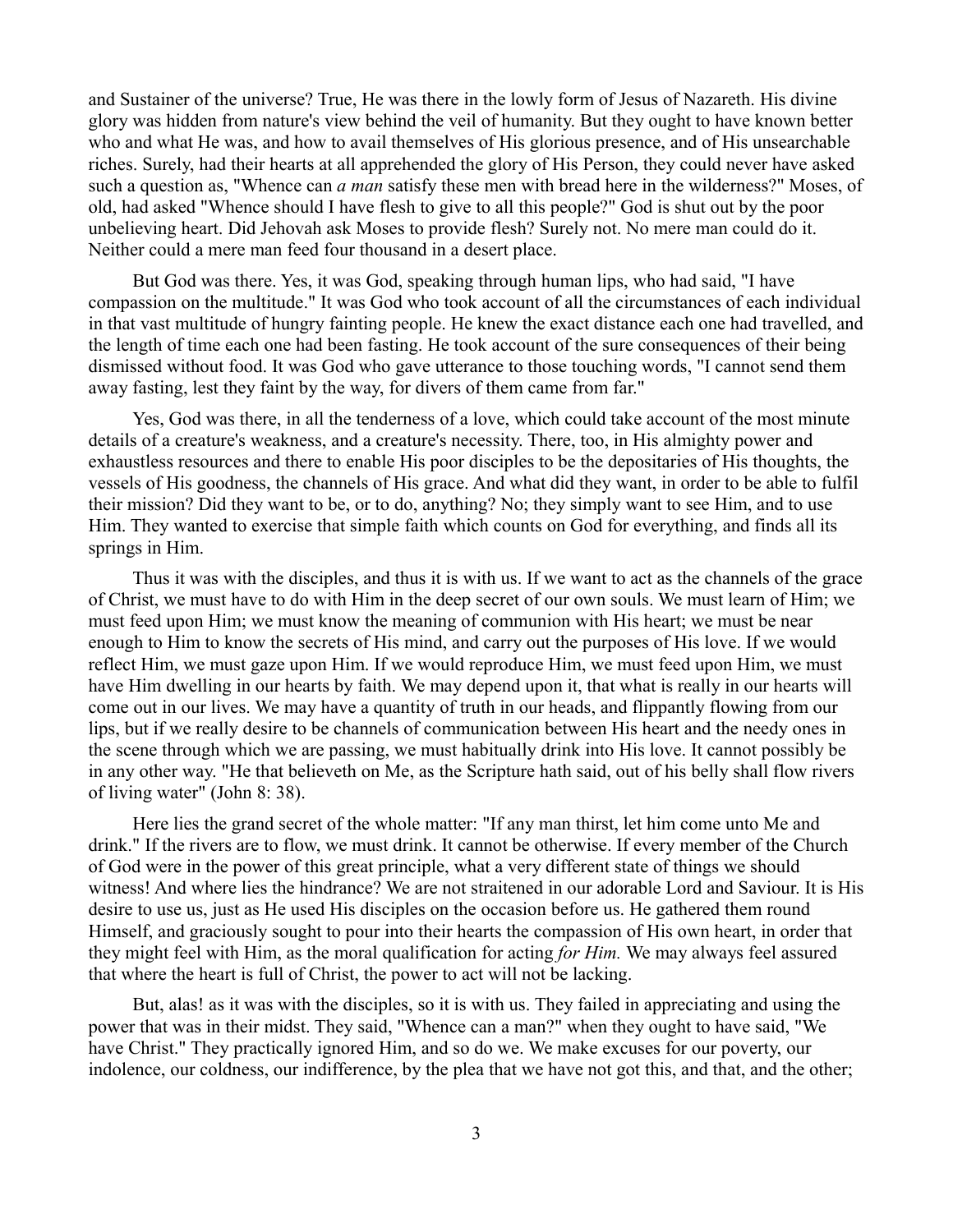and Sustainer of the universe? True, He was there in the lowly form of Jesus of Nazareth. His divine glory was hidden from nature's view behind the veil of humanity. But they ought to have known better who and what He was, and how to avail themselves of His glorious presence, and of His unsearchable riches. Surely, had their hearts at all apprehended the glory of His Person, they could never have asked such a question as, "Whence can *a man* satisfy these men with bread here in the wilderness?" Moses, of old, had asked "Whence should I have flesh to give to all this people?" God is shut out by the poor unbelieving heart. Did Jehovah ask Moses to provide flesh? Surely not. No mere man could do it. Neither could a mere man feed four thousand in a desert place.

But God was there. Yes, it was God, speaking through human lips, who had said, "I have compassion on the multitude." It was God who took account of all the circumstances of each individual in that vast multitude of hungry fainting people. He knew the exact distance each one had travelled, and the length of time each one had been fasting. He took account of the sure consequences of their being dismissed without food. It was God who gave utterance to those touching words, "I cannot send them away fasting, lest they faint by the way, for divers of them came from far."

Yes, God was there, in all the tenderness of a love, which could take account of the most minute details of a creature's weakness, and a creature's necessity. There, too, in His almighty power and exhaustless resources and there to enable His poor disciples to be the depositaries of His thoughts, the vessels of His goodness, the channels of His grace. And what did they want, in order to be able to fulfil their mission? Did they want to be, or to do, anything? No; they simply want to see Him, and to use Him. They wanted to exercise that simple faith which counts on God for everything, and finds all its springs in Him.

Thus it was with the disciples, and thus it is with us. If we want to act as the channels of the grace of Christ, we must have to do with Him in the deep secret of our own souls. We must learn of Him; we must feed upon Him; we must know the meaning of communion with His heart; we must be near enough to Him to know the secrets of His mind, and carry out the purposes of His love. If we would reflect Him, we must gaze upon Him. If we would reproduce Him, we must feed upon Him, we must have Him dwelling in our hearts by faith. We may depend upon it, that what is really in our hearts will come out in our lives. We may have a quantity of truth in our heads, and flippantly flowing from our lips, but if we really desire to be channels of communication between His heart and the needy ones in the scene through which we are passing, we must habitually drink into His love. It cannot possibly be in any other way. "He that believeth on Me, as the Scripture hath said, out of his belly shall flow rivers of living water" (John 8: 38).

Here lies the grand secret of the whole matter: "If any man thirst, let him come unto Me and drink." If the rivers are to flow, we must drink. It cannot be otherwise. If every member of the Church of God were in the power of this great principle, what a very different state of things we should witness! And where lies the hindrance? We are not straitened in our adorable Lord and Saviour. It is His desire to use us, just as He used His disciples on the occasion before us. He gathered them round Himself, and graciously sought to pour into their hearts the compassion of His own heart, in order that they might feel with Him, as the moral qualification for acting *for Him.* We may always feel assured that where the heart is full of Christ, the power to act will not be lacking.

But, alas! as it was with the disciples, so it is with us. They failed in appreciating and using the power that was in their midst. They said, "Whence can a man?" when they ought to have said, "We have Christ." They practically ignored Him, and so do we. We make excuses for our poverty, our indolence, our coldness, our indifference, by the plea that we have not got this, and that, and the other;